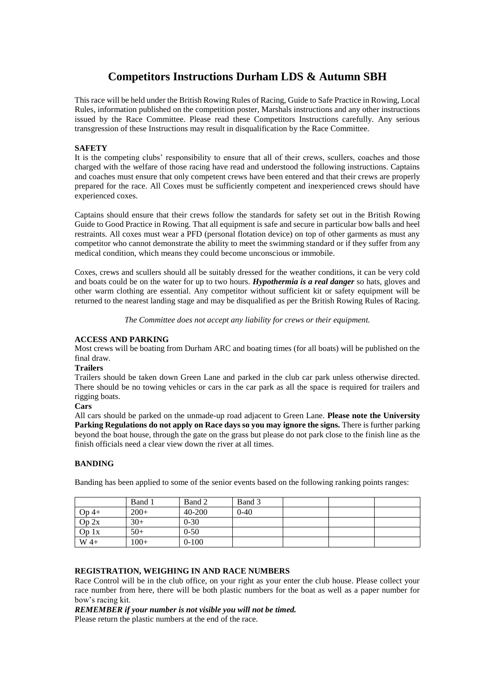# **Competitors Instructions Durham LDS & Autumn SBH**

This race will be held under the British Rowing Rules of Racing, Guide to Safe Practice in Rowing, Local Rules, information published on the competition poster, Marshals instructions and any other instructions issued by the Race Committee. Please read these Competitors Instructions carefully. Any serious transgression of these Instructions may result in disqualification by the Race Committee.

## **SAFETY**

It is the competing clubs' responsibility to ensure that all of their crews, scullers, coaches and those charged with the welfare of those racing have read and understood the following instructions. Captains and coaches must ensure that only competent crews have been entered and that their crews are properly prepared for the race. All Coxes must be sufficiently competent and inexperienced crews should have experienced coxes.

Captains should ensure that their crews follow the standards for safety set out in the British Rowing Guide to Good Practice in Rowing. That all equipment is safe and secure in particular bow balls and heel restraints. All coxes must wear a PFD (personal flotation device) on top of other garments as must any competitor who cannot demonstrate the ability to meet the swimming standard or if they suffer from any medical condition, which means they could become unconscious or immobile.

Coxes, crews and scullers should all be suitably dressed for the weather conditions, it can be very cold and boats could be on the water for up to two hours. *Hypothermia is a real danger* so hats, gloves and other warm clothing are essential. Any competitor without sufficient kit or safety equipment will be returned to the nearest landing stage and may be disqualified as per the British Rowing Rules of Racing.

*The Committee does not accept any liability for crews or their equipment.*

## **ACCESS AND PARKING**

Most crews will be boating from Durham ARC and boating times (for all boats) will be published on the final draw.

#### **Trailers**

Trailers should be taken down Green Lane and parked in the club car park unless otherwise directed. There should be no towing vehicles or cars in the car park as all the space is required for trailers and rigging boats.

## **Cars**

All cars should be parked on the unmade-up road adjacent to Green Lane. **Please note the University Parking Regulations do not apply on Race days so you may ignore the signs.** There is further parking beyond the boat house, through the gate on the grass but please do not park close to the finish line as the finish officials need a clear view down the river at all times.

## **BANDING**

Banding has been applied to some of the senior events based on the following ranking points ranges:

|         | Band 1 | Band 2   | Band 3 |  |  |
|---------|--------|----------|--------|--|--|
| $Op$ 4+ | $200+$ | 40-200   | $0-40$ |  |  |
| Op 2x   | $30+$  | $0 - 30$ |        |  |  |
| Op 1x   | $50+$  | $0 - 50$ |        |  |  |
| $W$ 4+  | $100+$ | $0-100$  |        |  |  |

## **REGISTRATION, WEIGHING IN AND RACE NUMBERS**

Race Control will be in the club office, on your right as your enter the club house. Please collect your race number from here, there will be both plastic numbers for the boat as well as a paper number for bow's racing kit.

*REMEMBER if your number is not visible you will not be timed.* Please return the plastic numbers at the end of the race.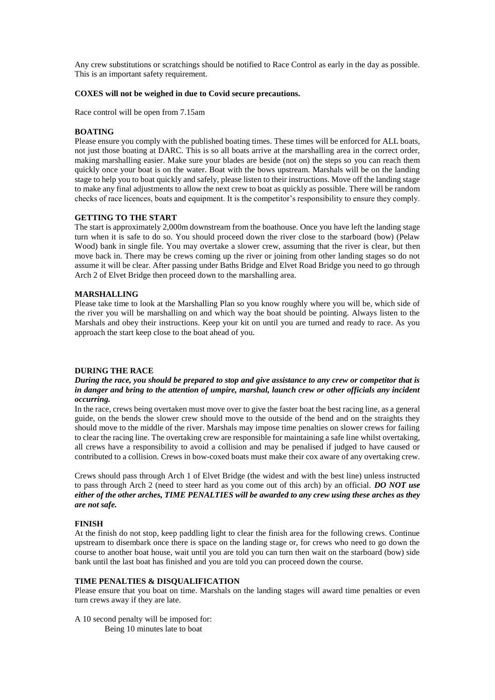Any crew substitutions or scratchings should be notified to Race Control as early in the day as possible. This is an important safety requirement.

#### **COXES will not be weighed in due to Covid secure precautions.**

Race control will be open from 7.15am

## **BOATING**

Please ensure you comply with the published boating times. These times will be enforced for ALL boats, not just those boating at DARC. This is so all boats arrive at the marshalling area in the correct order, making marshalling easier. Make sure your blades are beside (not on) the steps so you can reach them quickly once your boat is on the water. Boat with the bows upstream. Marshals will be on the landing stage to help you to boat quickly and safely, please listen to their instructions. Move off the landing stage to make any final adjustments to allow the next crew to boat as quickly as possible. There will be random checks of race licences, boats and equipment. It is the competitor's responsibility to ensure they comply.

#### **GETTING TO THE START**

The start is approximately 2,000m downstream from the boathouse. Once you have left the landing stage turn when it is safe to do so. You should proceed down the river close to the starboard (bow) (Pelaw Wood) bank in single file. You may overtake a slower crew, assuming that the river is clear, but then move back in. There may be crews coming up the river or joining from other landing stages so do not assume it will be clear. After passing under Baths Bridge and Elvet Road Bridge you need to go through Arch 2 of Elvet Bridge then proceed down to the marshalling area.

#### **MARSHALLING**

Please take time to look at the Marshalling Plan so you know roughly where you will be, which side of the river you will be marshalling on and which way the boat should be pointing. Always listen to the Marshals and obey their instructions. Keep your kit on until you are turned and ready to race. As you approach the start keep close to the boat ahead of you.

#### **DURING THE RACE**

#### *During the race, you should be prepared to stop and give assistance to any crew or competitor that is in danger and bring to the attention of umpire, marshal, launch crew or other officials any incident occurring.*

In the race, crews being overtaken must move over to give the faster boat the best racing line, as a general guide, on the bends the slower crew should move to the outside of the bend and on the straights they should move to the middle of the river. Marshals may impose time penalties on slower crews for failing to clear the racing line. The overtaking crew are responsible for maintaining a safe line whilst overtaking, all crews have a responsibility to avoid a collision and may be penalised if judged to have caused or contributed to a collision. Crews in bow-coxed boats must make their cox aware of any overtaking crew.

Crews should pass through Arch 1 of Elvet Bridge (the widest and with the best line) unless instructed to pass through Arch 2 (need to steer hard as you come out of this arch) by an official. *DO NOT use either of the other arches, TIME PENALTIES will be awarded to any crew using these arches as they are not safe.*

#### **FINISH**

At the finish do not stop, keep paddling light to clear the finish area for the following crews. Continue upstream to disembark once there is space on the landing stage or, for crews who need to go down the course to another boat house, wait until you are told you can turn then wait on the starboard (bow) side bank until the last boat has finished and you are told you can proceed down the course.

## **TIME PENALTIES & DISQUALIFICATION**

Please ensure that you boat on time. Marshals on the landing stages will award time penalties or even turn crews away if they are late.

A 10 second penalty will be imposed for: Being 10 minutes late to boat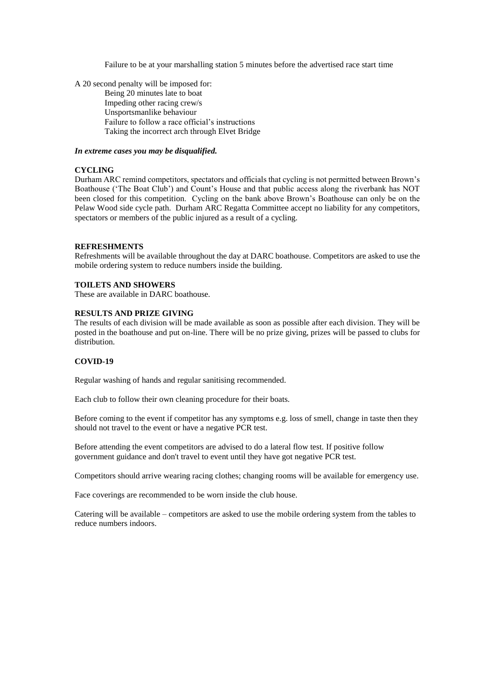Failure to be at your marshalling station 5 minutes before the advertised race start time

A 20 second penalty will be imposed for:

Being 20 minutes late to boat Impeding other racing crew/s Unsportsmanlike behaviour Failure to follow a race official's instructions Taking the incorrect arch through Elvet Bridge

### *In extreme cases you may be disqualified.*

#### **CYCLING**

Durham ARC remind competitors, spectators and officials that cycling is not permitted between Brown's Boathouse ('The Boat Club') and Count's House and that public access along the riverbank has NOT been closed for this competition. Cycling on the bank above Brown's Boathouse can only be on the Pelaw Wood side cycle path. Durham ARC Regatta Committee accept no liability for any competitors, spectators or members of the public injured as a result of a cycling.

#### **REFRESHMENTS**

Refreshments will be available throughout the day at DARC boathouse. Competitors are asked to use the mobile ordering system to reduce numbers inside the building.

#### **TOILETS AND SHOWERS**

These are available in DARC boathouse.

## **RESULTS AND PRIZE GIVING**

The results of each division will be made available as soon as possible after each division. They will be posted in the boathouse and put on-line. There will be no prize giving, prizes will be passed to clubs for distribution.

#### **COVID-19**

Regular washing of hands and regular sanitising recommended.

Each club to follow their own cleaning procedure for their boats.

Before coming to the event if competitor has any symptoms e.g. loss of smell, change in taste then they should not travel to the event or have a negative PCR test.

Before attending the event competitors are advised to do a lateral flow test. If positive follow government guidance and don't travel to event until they have got negative PCR test.

Competitors should arrive wearing racing clothes; changing rooms will be available for emergency use.

Face coverings are recommended to be worn inside the club house.

Catering will be available – competitors are asked to use the mobile ordering system from the tables to reduce numbers indoors.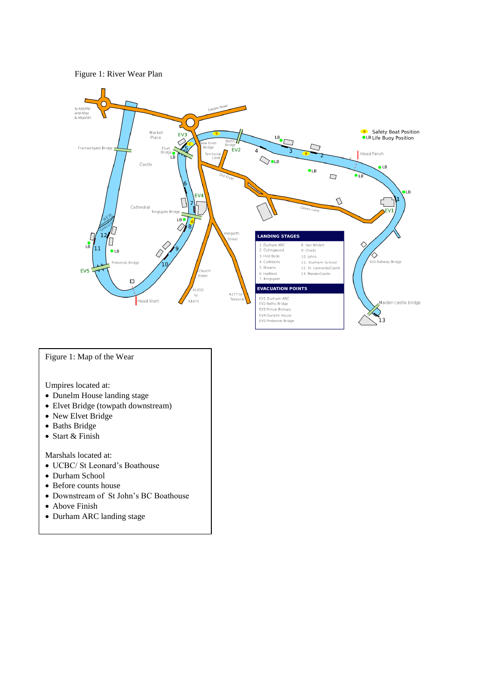



# Figure 1: Map of the Wear

Umpires located at:

- Dunelm House landing stage
- Elvet Bridge (towpath downstream)
- New Elvet Bridge
- Baths Bridge
- Start & Finish

Marshals located at:

- UCBC/ St Leonard's Boathouse
- Durham School
- Before counts house
- Downstream of St John's BC Boathouse
- Above Finish
- Durham ARC landing stage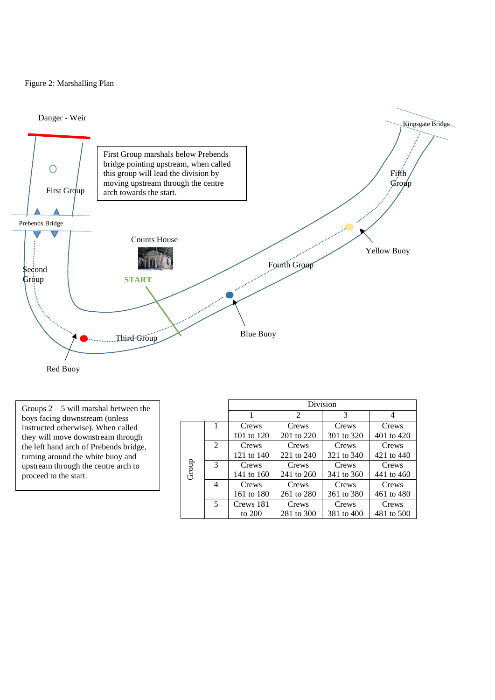## Figure 2: Marshalling Plan





Groups  $2 - 5$  will marshal between the boys facing downstream (unless instructed otherwise). When called they will move downstream through the left hand arch of Prebends bridge, turning around the white buoy and upstream through the centre arch to proceed to the start.

|       |               | Division   |            |            |            |  |  |
|-------|---------------|------------|------------|------------|------------|--|--|
|       |               | 1          | 2          | 3          | 4          |  |  |
|       |               | Crews      | Crews      | Crews      | Crews      |  |  |
| Group |               | 101 to 120 | 201 to 220 | 301 to 320 | 401 to 420 |  |  |
|       | 2             | Crews      | Crews      | Crews      | Crews      |  |  |
|       |               | 121 to 140 | 221 to 240 | 321 to 340 | 421 to 440 |  |  |
|       | $\mathcal{R}$ | Crews      | Crews      | Crews      | Crews      |  |  |
|       |               | 141 to 160 | 241 to 260 | 341 to 360 | 441 to 460 |  |  |
|       | 4             | Crews      | Crews      | Crews      | Crews      |  |  |
|       |               | 161 to 180 | 261 to 280 | 361 to 380 | 461 to 480 |  |  |
|       | 5             | Crews 181  | Crews      | Crews      | Crews      |  |  |
|       |               | to 200     | 281 to 300 | 381 to 400 | 481 to 500 |  |  |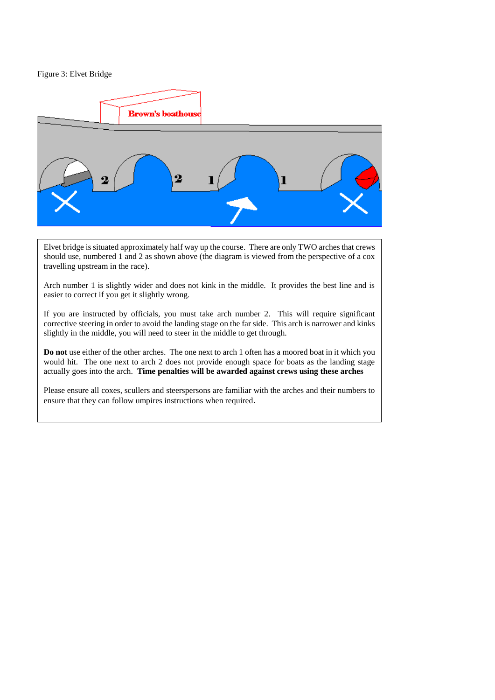Figure 3: Elvet Bridge



Elvet bridge is situated approximately half way up the course. There are only TWO arches that crews should use, numbered 1 and 2 as shown above (the diagram is viewed from the perspective of a cox travelling upstream in the race).

Arch number 1 is slightly wider and does not kink in the middle. It provides the best line and is easier to correct if you get it slightly wrong.

If you are instructed by officials, you must take arch number 2. This will require significant corrective steering in order to avoid the landing stage on the far side. This arch is narrower and kinks slightly in the middle, you will need to steer in the middle to get through.

**Do not** use either of the other arches. The one next to arch 1 often has a moored boat in it which you would hit. The one next to arch 2 does not provide enough space for boats as the landing stage actually goes into the arch. **Time penalties will be awarded against crews using these arches**

Please ensure all coxes, scullers and steerspersons are familiar with the arches and their numbers to ensure that they can follow umpires instructions when required.